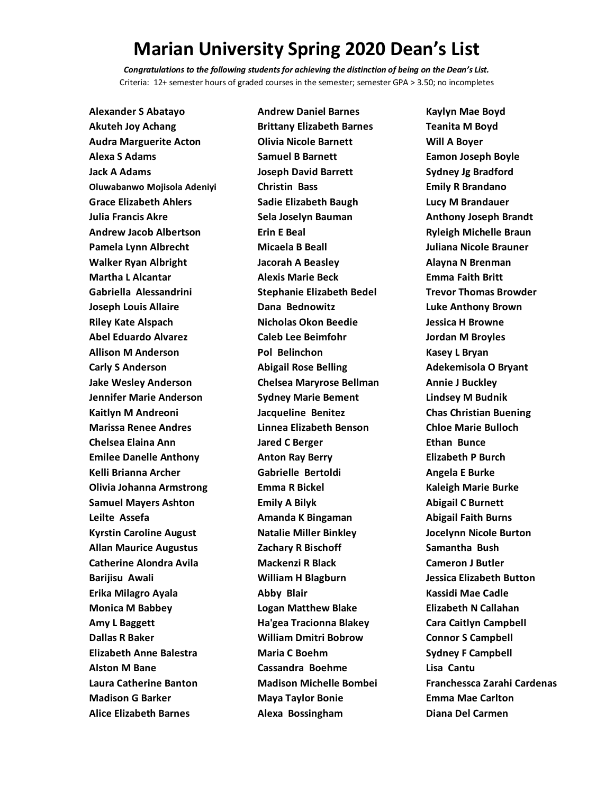*Congratulations to the following students for achieving the distinction of being on the Dean's List.* Criteria: 12+ semester hours of graded courses in the semester; semester GPA > 3.50; no incompletes

**Andrew Daniel Barnes**

**Alexander S Abatayo Akuteh Joy Achang Audra Marguerite Acton Alexa S Adams Jack A Adams Oluwabanwo Mojisola Adeniyi Grace Elizabeth Ahlers Julia Francis Akre Andrew Jacob Albertson Pamela Lynn Albrecht Walker Ryan Albright Martha L Alcantar Gabriella Alessandrini Joseph Louis Allaire Riley Kate Alspach Abel Eduardo Alvarez Allison M Anderson Carly S Anderson Jake Wesley Anderson Jennifer Marie Anderson Kaitlyn M Andreoni Marissa Renee Andres Chelsea Elaina Ann Emilee Danelle Anthony Kelli Brianna Archer Olivia Johanna Armstrong Samuel Mayers Ashton Leilte Assefa Kyrstin Caroline August Allan Maurice Augustus Catherine Alondra Avila Barijisu Awali Erika Milagro Ayala Monica M Babbey Amy L Baggett Dallas R Baker Elizabeth Anne Balestra Alston M Bane Laura Catherine Banton Madison G Barker Alice Elizabeth Barnes**

**Brittany Elizabeth Barnes Olivia Nicole Barnett Samuel B Barnett Joseph David Barrett Christin Bass Sadie Elizabeth Baugh Sela Joselyn Bauman Erin E Beal Micaela B Beall Jacorah A Beasley Alexis Marie Beck Stephanie Elizabeth Bedel Dana Bednowitz Nicholas Okon Beedie Caleb Lee Beimfohr Pol Belinchon Abigail Rose Belling Chelsea Maryrose Bellman Sydney Marie Bement Jacqueline Benitez Linnea Elizabeth Benson Jared C Berger Anton Ray Berry Gabrielle Bertoldi Emma R Bickel Emily A Bilyk Amanda K Bingaman Natalie Miller Binkley Zachary R Bischoff Mackenzi R Black William H Blagburn Abby Blair Logan Matthew Blake Ha'gea Tracionna Blakey William Dmitri Bobrow Maria C Boehm Cassandra Boehme Madison Michelle Bombei Maya Taylor Bonie Alexa Bossingham**

**Kaylyn Mae Boyd Teanita M Boyd Will A Boyer Eamon Joseph Boyle Sydney Jg Bradford Emily R Brandano Lucy M Brandauer Anthony Joseph Brandt Ryleigh Michelle Braun Juliana Nicole Brauner Alayna N Brenman Emma Faith Britt Trevor Thomas Browder Luke Anthony Brown Jessica H Browne Jordan M Broyles Kasey L Bryan Adekemisola O Bryant Annie J Buckley Lindsey M Budnik Chas Christian Buening Chloe Marie Bulloch Ethan Bunce Elizabeth P Burch Angela E Burke Kaleigh Marie Burke Abigail C Burnett Abigail Faith Burns Jocelynn Nicole Burton Samantha Bush Cameron J Butler Jessica Elizabeth Button Kassidi Mae Cadle Elizabeth N Callahan Cara Caitlyn Campbell Connor S Campbell Sydney F Campbell Lisa Cantu Franchessca Zarahi Cardenas Emma Mae Carlton Diana Del Carmen**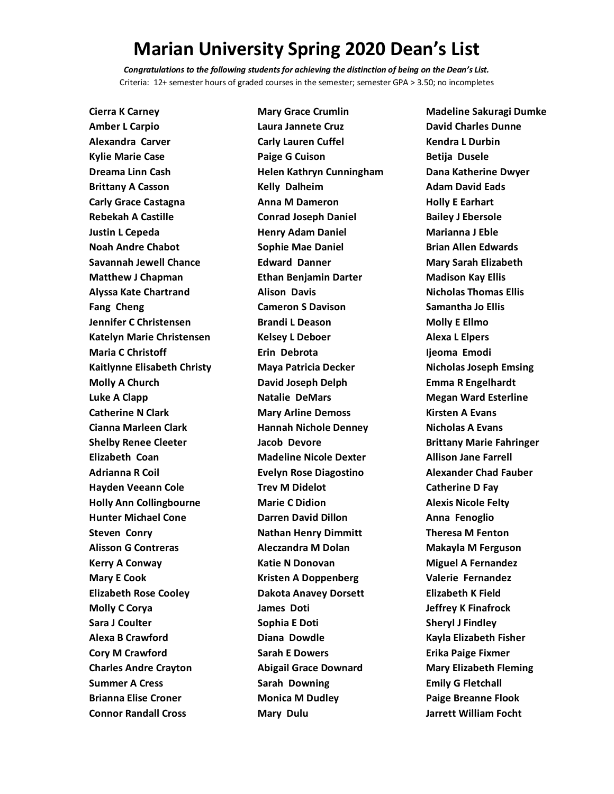*Congratulations to the following students for achieving the distinction of being on the Dean's List.* Criteria: 12+ semester hours of graded courses in the semester; semester GPA > 3.50; no incompletes

**Cierra K Carney Amber L Carpio Alexandra Carver Kylie Marie Case Dreama Linn Cash Brittany A Casson Carly Grace Castagna Rebekah A Castille Justin L Cepeda Noah Andre Chabot Savannah Jewell Chance Matthew J Chapman Alyssa Kate Chartrand Fang Cheng Jennifer C Christensen Katelyn Marie Christensen Maria C Christoff Kaitlynne Elisabeth Christy Molly A Church Luke A Clapp Catherine N Clark Cianna Marleen Clark Shelby Renee Cleeter Elizabeth Coan Adrianna R Coil Hayden Veeann Cole Holly Ann Collingbourne Hunter Michael Cone Steven Conry Alisson G Contreras Kerry A Conway Mary E Cook Elizabeth Rose Cooley Molly C Corya Sara J Coulter Alexa B Crawford Cory M Crawford Charles Andre Crayton Summer A Cress Brianna Elise Croner Connor Randall Cross**

**Mary Grace Crumlin Laura Jannete Cruz Carly Lauren Cuffel Paige G Cuison Helen Kathryn Cunningham Kelly Dalheim Anna M Dameron Conrad Joseph Daniel Henry Adam Daniel Sophie Mae Daniel Edward Danner Ethan Benjamin Darter Alison Davis Cameron S Davison Brandi L Deason Kelsey L Deboer Erin Debrota Maya Patricia Decker David Joseph Delph Natalie DeMars Mary Arline Demoss Hannah Nichole Denney Jacob Devore Madeline Nicole Dexter Evelyn Rose Diagostino Trev M Didelot Marie C Didion Darren David Dillon Nathan Henry Dimmitt Aleczandra M Dolan Katie N Donovan Kristen A Doppenberg Dakota Anavey Dorsett James Doti Sophia E Doti Diana Dowdle Sarah E Dowers Abigail Grace Downard Sarah Downing Monica M Dudley Mary Dulu**

**Madeline Sakuragi Dumke David Charles Dunne Kendra L Durbin Betija Dusele Dana Katherine Dwyer Adam David Eads Holly E Earhart Bailey J Ebersole Marianna J Eble Brian Allen Edwards Mary Sarah Elizabeth Madison Kay Ellis Nicholas Thomas Ellis Samantha Jo Ellis Molly E Ellmo Alexa L Elpers Ijeoma Emodi Nicholas Joseph Emsing Emma R Engelhardt Megan Ward Esterline Kirsten A Evans Nicholas A Evans Brittany Marie Fahringer Allison Jane Farrell Alexander Chad Fauber Catherine D Fay Alexis Nicole Felty Anna Fenoglio Theresa M Fenton Makayla M Ferguson Miguel A Fernandez Valerie Fernandez Elizabeth K Field Jeffrey K Finafrock Sheryl J Findley Kayla Elizabeth Fisher Erika Paige Fixmer Mary Elizabeth Fleming Emily G Fletchall Paige Breanne Flook Jarrett William Focht**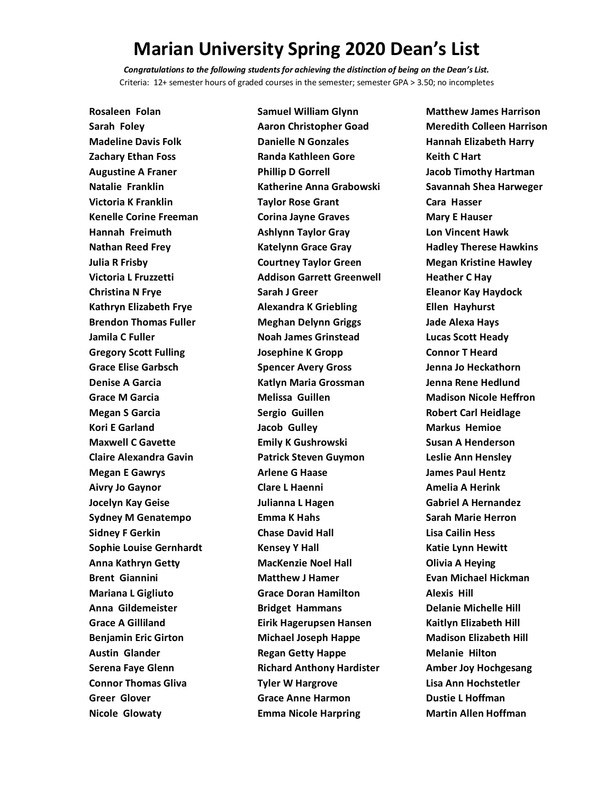*Congratulations to the following students for achieving the distinction of being on the Dean's List.* Criteria: 12+ semester hours of graded courses in the semester; semester GPA > 3.50; no incompletes

**Rosaleen Folan Sarah Foley Madeline Davis Folk Zachary Ethan Foss Augustine A Franer Natalie Franklin Victoria K Franklin Kenelle Corine Freeman Hannah Freimuth Nathan Reed Frey Julia R Frisby Victoria L Fruzzetti Christina N Frye Kathryn Elizabeth Frye Brendon Thomas Fuller Jamila C Fuller Gregory Scott Fulling Grace Elise Garbsch Denise A Garcia Grace M Garcia Megan S Garcia Kori E Garland Maxwell C Gavette Claire Alexandra Gavin Megan E Gawrys Aivry Jo Gaynor Jocelyn Kay Geise Sydney M Genatempo Sidney F Gerkin Sophie Louise Gernhardt Anna Kathryn Getty Brent Giannini Mariana L Gigliuto Anna Gildemeister Grace A Gilliland Benjamin Eric Girton Austin Glander Serena Faye Glenn Connor Thomas Gliva Greer Glover Nicole Glowaty**

**Samuel William Glynn Aaron Christopher Goad Danielle N Gonzales Randa Kathleen Gore Phillip D Gorrell Katherine Anna Grabowski Taylor Rose Grant Corina Jayne Graves Ashlynn Taylor Gray Katelynn Grace Gray Courtney Taylor Green Addison Garrett Greenwell Sarah J Greer Alexandra K Griebling Meghan Delynn Griggs Noah James Grinstead Josephine K Gropp Spencer Avery Gross Katlyn Maria Grossman Melissa Guillen Sergio Guillen Jacob Gulley Emily K Gushrowski Patrick Steven Guymon Arlene G Haase Clare L Haenni Julianna L Hagen Emma K Hahs Chase David Hall Kensey Y Hall MacKenzie Noel Hall Matthew J Hamer Grace Doran Hamilton Bridget Hammans Eirik Hagerupsen Hansen Michael Joseph Happe Regan Getty Happe Richard Anthony Hardister Tyler W Hargrove Grace Anne Harmon Emma Nicole Harpring**

**Matthew James Harrison Meredith Colleen Harrison Hannah Elizabeth Harry Keith C Hart Jacob Timothy Hartman Savannah Shea Harweger Cara Hasser Mary E Hauser Lon Vincent Hawk Hadley Therese Hawkins Megan Kristine Hawley Heather C Hay Eleanor Kay Haydock Ellen Hayhurst Jade Alexa Hays Lucas Scott Heady Connor T Heard Jenna Jo Heckathorn Jenna Rene Hedlund Madison Nicole Heffron Robert Carl Heidlage Markus Hemioe Susan A Henderson Leslie Ann Hensley James Paul Hentz Amelia A Herink Gabriel A Hernandez Sarah Marie Herron Lisa Cailin Hess Katie Lynn Hewitt Olivia A Heying Evan Michael Hickman Alexis Hill Delanie Michelle Hill Kaitlyn Elizabeth Hill Madison Elizabeth Hill Melanie Hilton Amber Joy Hochgesang Lisa Ann Hochstetler Dustie L Hoffman Martin Allen Hoffman**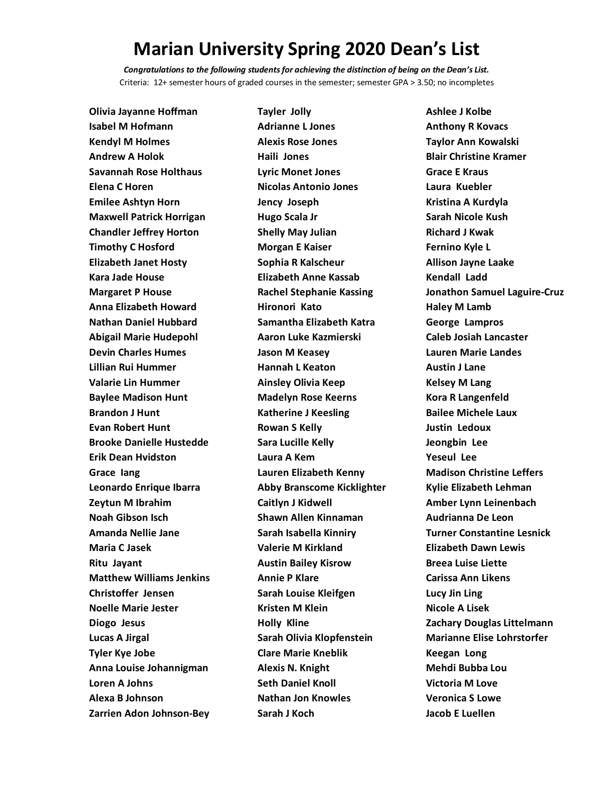*Congratulations to the following students for achieving the distinction of being on the Dean's List.* Criteria: 12+ semester hours of graded courses in the semester; semester GPA > 3.50; no incompletes

**Olivia Jayanne Hoffman Isabel M Hofmann Kendyl M Holmes Andrew A Holok Savannah Rose Holthaus Elena C Horen Emilee Ashtyn Horn Maxwell Patrick Horrigan Chandler Jeffrey Horton Timothy C Hosford Elizabeth Janet Hosty Kara Jade House Margaret P House Anna Elizabeth Howard Nathan Daniel Hubbard Abigail Marie Hudepohl Devin Charles Humes Lillian Rui Hummer Valarie Lin Hummer Baylee Madison Hunt Brandon J Hunt Evan Robert Hunt Brooke Danielle Hustedde Erik Dean Hvidston Grace Iang Leonardo Enrique Ibarra Zeytun M Ibrahim Noah Gibson Isch Amanda Nellie Jane Maria C Jasek Ritu Jayant Matthew Williams Jenkins Christoffer Jensen Noelle Marie Jester Diogo Jesus Lucas A Jirgal Tyler Kye Jobe Anna Louise Johannigman Loren A Johns Alexa B Johnson Zarrien Adon Johnson-Bey**

**Tayler Jolly Adrianne L Jones Alexis Rose Jones Haili Jones Lyric Monet Jones Nicolas Antonio Jones Jency Joseph Hugo Scala Jr Shelly May Julian Morgan E Kaiser Sophia R Kalscheur Elizabeth Anne Kassab Rachel Stephanie Kassing Hironori Kato Samantha Elizabeth Katra Aaron Luke Kazmierski Jason M Keasey Hannah L Keaton Ainsley Olivia Keep Madelyn Rose Keerns Katherine J Keesling Rowan S Kelly Sara Lucille Kelly Laura A Kem Lauren Elizabeth Kenny Abby Branscome Kicklighter Caitlyn J Kidwell Shawn Allen Kinnaman Sarah Isabella Kinniry Valerie M Kirkland Austin Bailey Kisrow Annie P Klare Sarah Louise Kleifgen Kristen M Klein Holly Kline Sarah Olivia Klopfenstein Clare Marie Kneblik Alexis N. Knight Seth Daniel Knoll Nathan Jon Knowles Sarah J Koch**

**Ashlee J Kolbe Anthony R Kovacs Taylor Ann Kowalski Blair Christine Kramer Grace E Kraus Laura Kuebler Kristina A Kurdyla Sarah Nicole Kush Richard J Kwak Fernino Kyle L Allison Jayne Laake Kendall Ladd Jonathon Samuel Laguire-Cruz Haley M Lamb George Lampros Caleb Josiah Lancaster Lauren Marie Landes Austin J Lane Kelsey M Lang Kora R Langenfeld Bailee Michele Laux Justin Ledoux Jeongbin Lee Yeseul Lee Madison Christine Leffers Kylie Elizabeth Lehman Amber Lynn Leinenbach Audrianna De Leon Turner Constantine Lesnick Elizabeth Dawn Lewis Breea Luise Liette Carissa Ann Likens Lucy Jin Ling Nicole A Lisek Zachary Douglas Littelmann Marianne Elise Lohrstorfer Keegan Long Mehdi Bubba Lou Victoria M Love Veronica S Lowe Jacob E Luellen**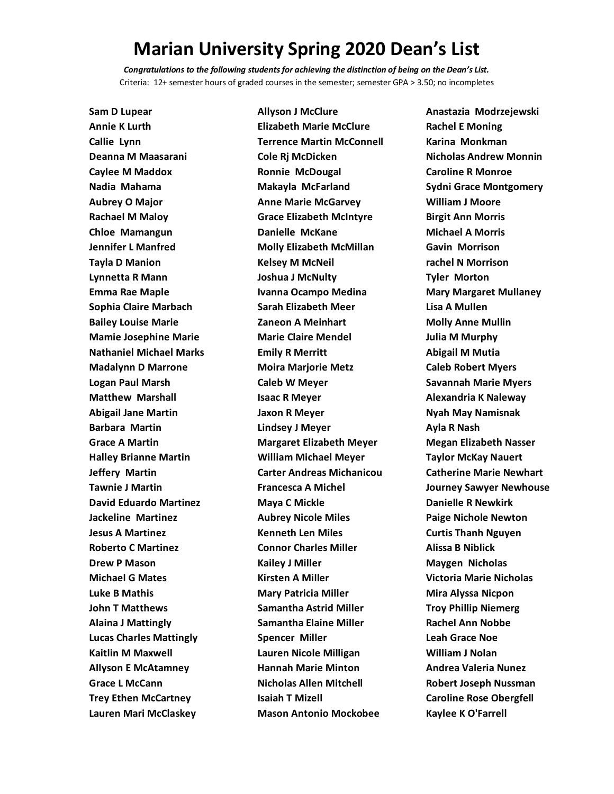*Congratulations to the following students for achieving the distinction of being on the Dean's List.* Criteria: 12+ semester hours of graded courses in the semester; semester GPA > 3.50; no incompletes

**Sam D Lupear Annie K Lurth Callie Lynn Deanna M Maasarani Caylee M Maddox Nadia Mahama Aubrey O Major Rachael M Maloy Chloe Mamangun Jennifer L Manfred Tayla D Manion Lynnetta R Mann Emma Rae Maple Sophia Claire Marbach Bailey Louise Marie Mamie Josephine Marie Nathaniel Michael Marks Madalynn D Marrone Logan Paul Marsh Matthew Marshall Abigail Jane Martin Barbara Martin Grace A Martin Halley Brianne Martin Jeffery Martin Tawnie J Martin David Eduardo Martinez Jackeline Martinez Jesus A Martinez Roberto C Martinez Drew P Mason Michael G Mates Luke B Mathis John T Matthews Alaina J Mattingly Lucas Charles Mattingly Kaitlin M Maxwell Allyson E McAtamney Grace L McCann Trey Ethen McCartney Lauren Mari McClaskey**

**Allyson J McClure Elizabeth Marie McClure Terrence Martin McConnell Cole Rj McDicken Ronnie McDougal Makayla McFarland Anne Marie McGarvey Grace Elizabeth McIntyre Danielle McKane Molly Elizabeth McMillan Kelsey M McNeil Joshua J McNulty Ivanna Ocampo Medina Sarah Elizabeth Meer Zaneon A Meinhart Marie Claire Mendel Emily R Merritt Moira Marjorie Metz Caleb W Meyer Isaac R Meyer Jaxon R Meyer Lindsey J Meyer Margaret Elizabeth Meyer William Michael Meyer Carter Andreas Michanicou Francesca A Michel Maya C Mickle Aubrey Nicole Miles Kenneth Len Miles Connor Charles Miller Kailey J Miller Kirsten A Miller Mary Patricia Miller Samantha Astrid Miller Samantha Elaine Miller Spencer Miller Lauren Nicole Milligan Hannah Marie Minton Nicholas Allen Mitchell Isaiah T Mizell Mason Antonio Mockobee**

**Anastazia Modrzejewski Rachel E Moning Karina Monkman Nicholas Andrew Monnin Caroline R Monroe Sydni Grace Montgomery William J Moore Birgit Ann Morris Michael A Morris Gavin Morrison rachel N Morrison Tyler Morton Mary Margaret Mullaney Lisa A Mullen Molly Anne Mullin Julia M Murphy Abigail M Mutia Caleb Robert Myers Savannah Marie Myers Alexandria K Naleway Nyah May Namisnak Ayla R Nash Megan Elizabeth Nasser Taylor McKay Nauert Catherine Marie Newhart Journey Sawyer Newhouse Danielle R Newkirk Paige Nichole Newton Curtis Thanh Nguyen Alissa B Niblick Maygen Nicholas Victoria Marie Nicholas Mira Alyssa Nicpon Troy Phillip Niemerg Rachel Ann Nobbe Leah Grace Noe William J Nolan Andrea Valeria Nunez Robert Joseph Nussman Caroline Rose Obergfell Kaylee K O'Farrell**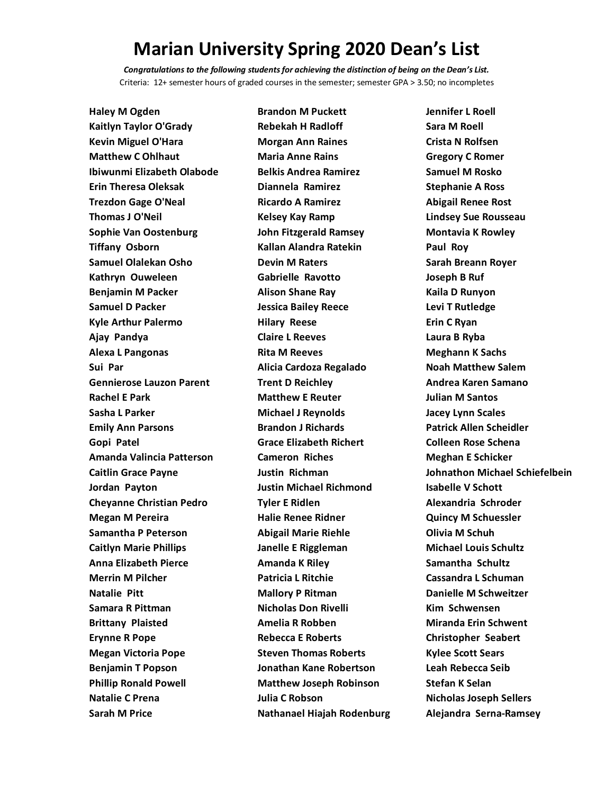*Congratulations to the following students for achieving the distinction of being on the Dean's List.* Criteria: 12+ semester hours of graded courses in the semester; semester GPA > 3.50; no incompletes

**Haley M Ogden Kaitlyn Taylor O'Grady Kevin Miguel O'Hara Matthew C Ohlhaut Ibiwunmi Elizabeth Olabode Erin Theresa Oleksak Trezdon Gage O'Neal Thomas J O'Neil Sophie Van Oostenburg Tiffany Osborn Samuel Olalekan Osho Kathryn Ouweleen Benjamin M Packer Samuel D Packer Kyle Arthur Palermo Ajay Pandya Alexa L Pangonas Sui Par Gennierose Lauzon Parent Rachel E Park Sasha L Parker Emily Ann Parsons Gopi Patel Amanda Valincia Patterson Caitlin Grace Payne Jordan Payton Cheyanne Christian Pedro Megan M Pereira Samantha P Peterson Caitlyn Marie Phillips Anna Elizabeth Pierce Merrin M Pilcher Natalie Pitt Samara R Pittman Brittany Plaisted Erynne R Pope Megan Victoria Pope Benjamin T Popson Phillip Ronald Powell Natalie C Prena Sarah M Price**

**Brandon M Puckett Rebekah H Radloff Morgan Ann Raines Maria Anne Rains Belkis Andrea Ramirez Diannela Ramirez Ricardo A Ramirez Kelsey Kay Ramp John Fitzgerald Ramsey Kallan Alandra Ratekin Devin M Raters Gabrielle Ravotto Alison Shane Ray Jessica Bailey Reece Hilary Reese Claire L Reeves Rita M Reeves Alicia Cardoza Regalado Trent D Reichley Matthew E Reuter Michael J Reynolds Brandon J Richards Grace Elizabeth Richert Cameron Riches Justin Richman Justin Michael Richmond Tyler E Ridlen Halie Renee Ridner Abigail Marie Riehle Janelle E Riggleman Amanda K Riley Patricia L Ritchie Mallory P Ritman Nicholas Don Rivelli Amelia R Robben Rebecca E Roberts Steven Thomas Roberts Jonathan Kane Robertson Matthew Joseph Robinson Julia C Robson Nathanael Hiajah Rodenburg** **Jennifer L Roell Sara M Roell Crista N Rolfsen Gregory C Romer Samuel M Rosko Stephanie A Ross Abigail Renee Rost Lindsey Sue Rousseau Montavia K Rowley Paul Roy Sarah Breann Royer Joseph B Ruf Kaila D Runyon Levi T Rutledge Erin C Ryan Laura B Ryba Meghann K Sachs Noah Matthew Salem Andrea Karen Samano Julian M Santos Jacey Lynn Scales Patrick Allen Scheidler Colleen Rose Schena Meghan E Schicker Johnathon Michael Schiefelbein Isabelle V Schott Alexandria Schroder Quincy M Schuessler Olivia M Schuh Michael Louis Schultz Samantha Schultz Cassandra L Schuman Danielle M Schweitzer Kim Schwensen Miranda Erin Schwent Christopher Seabert Kylee Scott Sears Leah Rebecca Seib Stefan K Selan Nicholas Joseph Sellers Alejandra Serna-Ramsey**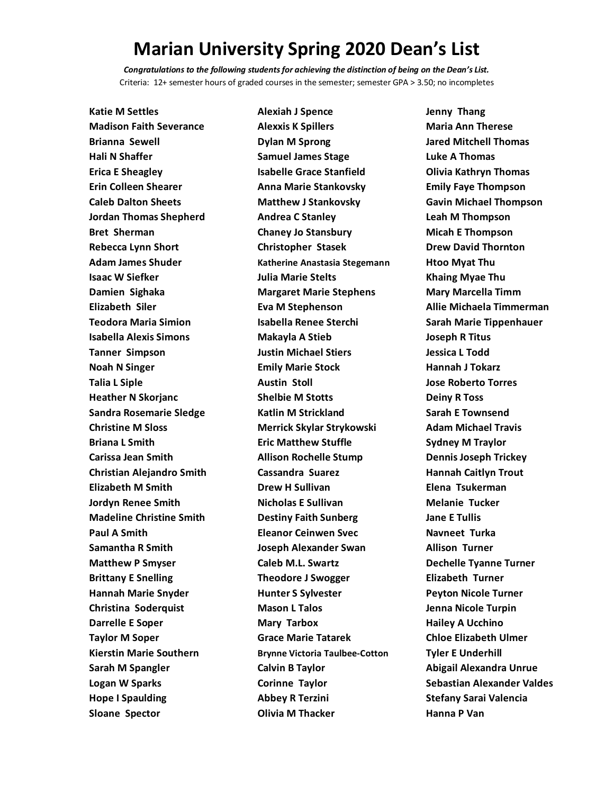*Congratulations to the following students for achieving the distinction of being on the Dean's List.* Criteria: 12+ semester hours of graded courses in the semester; semester GPA > 3.50; no incompletes

**Katie M Settles Madison Faith Severance Brianna Sewell Hali N Shaffer Erica E Sheagley Erin Colleen Shearer Caleb Dalton Sheets Jordan Thomas Shepherd Bret Sherman Rebecca Lynn Short Adam James Shuder Isaac W Siefker Damien Sighaka Elizabeth Siler Teodora Maria Simion Isabella Alexis Simons Tanner Simpson Noah N Singer Talia L Siple Heather N Skorjanc Sandra Rosemarie Sledge Christine M Sloss Briana L Smith Carissa Jean Smith Christian Alejandro Smith Elizabeth M Smith Jordyn Renee Smith Madeline Christine Smith Paul A Smith Samantha R Smith Matthew P Smyser Brittany E Snelling Hannah Marie Snyder Christina Soderquist Darrelle E Soper Taylor M Soper Kierstin Marie Southern Sarah M Spangler Logan W Sparks Hope I Spaulding Sloane Spector**

**Alexiah J Spence Alexxis K Spillers Dylan M Sprong Samuel James Stage Isabelle Grace Stanfield Anna Marie Stankovsky Matthew J Stankovsky Andrea C Stanley Chaney Jo Stansbury Christopher Stasek Katherine Anastasia Stegemann Julia Marie Stelts Margaret Marie Stephens Eva M Stephenson Isabella Renee Sterchi Makayla A Stieb Justin Michael Stiers Emily Marie Stock Austin Stoll Shelbie M Stotts Katlin M Strickland Merrick Skylar Strykowski Eric Matthew Stuffle Allison Rochelle Stump Cassandra Suarez Drew H Sullivan Nicholas E Sullivan Destiny Faith Sunberg Eleanor Ceinwen Svec Joseph Alexander Swan Caleb M.L. Swartz Theodore J Swogger Hunter S Sylvester Mason L Talos Mary Tarbox Grace Marie Tatarek Brynne Victoria Taulbee-Cotton Calvin B Taylor Corinne Taylor Abbey R Terzini Olivia M Thacker**

**Jenny Thang Maria Ann Therese Jared Mitchell Thomas Luke A Thomas Olivia Kathryn Thomas Emily Faye Thompson Gavin Michael Thompson Leah M Thompson Micah E Thompson Drew David Thornton Htoo Myat Thu Khaing Myae Thu Mary Marcella Timm Allie Michaela Timmerman Sarah Marie Tippenhauer Joseph R Titus Jessica L Todd Hannah J Tokarz Jose Roberto Torres Deiny R Toss Sarah E Townsend Adam Michael Travis Sydney M Traylor Dennis Joseph Trickey Hannah Caitlyn Trout Elena Tsukerman Melanie Tucker Jane E Tullis Navneet Turka Allison Turner Dechelle Tyanne Turner Elizabeth Turner Peyton Nicole Turner Jenna Nicole Turpin Hailey A Ucchino Chloe Elizabeth Ulmer Tyler E Underhill Abigail Alexandra Unrue Sebastian Alexander Valdes Stefany Sarai Valencia Hanna P Van**